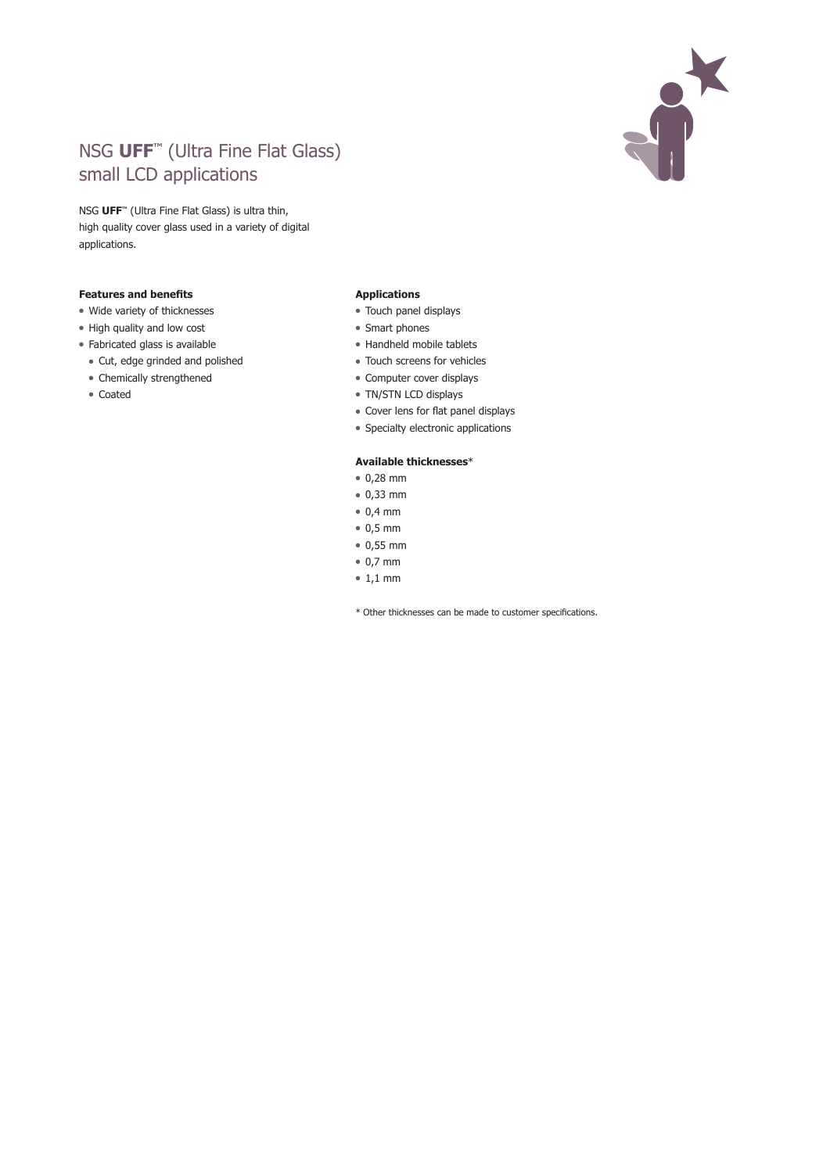

## NSG **UFF™** (Ultra Fine Flat Glass) small LCD applications

NSG **UFF™** (Ultra Fine Flat Glass) is ultra thin, high quality cover glass used in a variety of digital applications.

## **Features and benefits**

- Wide variety of thicknesses
- High quality and low cost
- Fabricated glass is available
	- Cut, edge grinded and polished
	- Chemically strengthened
	- Coated

## **Applications**

- Touch panel displays
- Smart phones
- Handheld mobile tablets
- Touch screens for vehicles
- Computer cover displays
- TN/STN LCD displays
- Cover lens for flat panel displays
- Specialty electronic applications

## **Available thicknesses**\*

- $0,28$  mm
- $0,33$  mm
- $\bullet$  0,4 mm
- $\bullet$  0,5 mm
- $0,55$  mm
- $\bullet$  0,7 mm
- $\bullet$  1,1 mm
- \* Other thicknesses can be made to customer specifications.